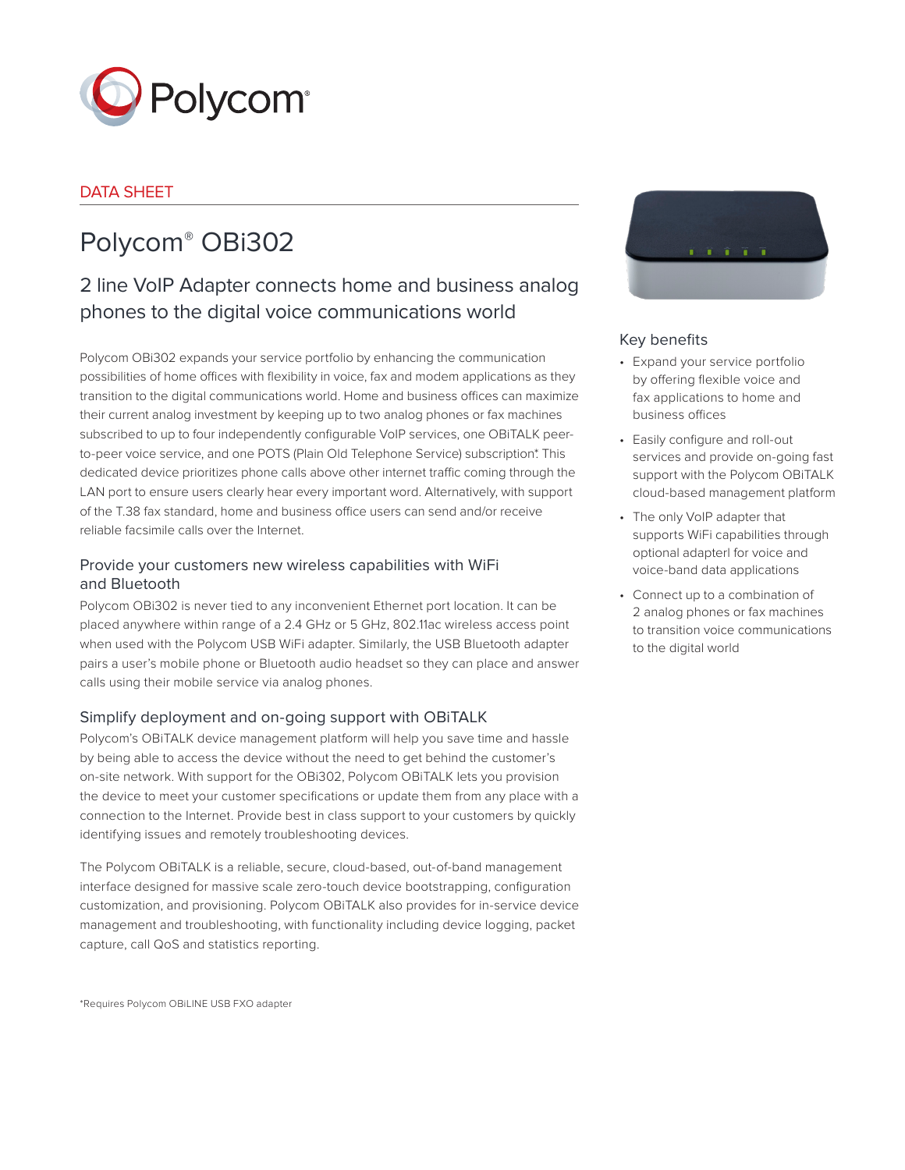

# DATA SHEET

# Polycom® OBi302

# 2 line VoIP Adapter connects home and business analog phones to the digital voice communications world

Polycom OBi302 expands your service portfolio by enhancing the communication possibilities of home offices with flexibility in voice, fax and modem applications as they transition to the digital communications world. Home and business offices can maximize their current analog investment by keeping up to two analog phones or fax machines subscribed to up to four independently configurable VoIP services, one OBiTALK peerto-peer voice service, and one POTS (Plain Old Telephone Service) subscription\*. This dedicated device prioritizes phone calls above other internet traffic coming through the LAN port to ensure users clearly hear every important word. Alternatively, with support of the T.38 fax standard, home and business office users can send and/or receive reliable facsimile calls over the Internet.

# Provide your customers new wireless capabilities with WiFi and Bluetooth

Polycom OBi302 is never tied to any inconvenient Ethernet port location. It can be placed anywhere within range of a 2.4 GHz or 5 GHz, 802.11ac wireless access point when used with the Polycom USB WiFi adapter. Similarly, the USB Bluetooth adapter pairs a user's mobile phone or Bluetooth audio headset so they can place and answer calls using their mobile service via analog phones.

# Simplify deployment and on-going support with OBiTALK

Polycom's OBiTALK device management platform will help you save time and hassle by being able to access the device without the need to get behind the customer's on-site network. With support for the OBi302, Polycom OBiTALK lets you provision the device to meet your customer specifications or update them from any place with a connection to the Internet. Provide best in class support to your customers by quickly identifying issues and remotely troubleshooting devices.

The Polycom OBiTALK is a reliable, secure, cloud-based, out-of-band management interface designed for massive scale zero-touch device bootstrapping, configuration customization, and provisioning. Polycom OBiTALK also provides for in-service device management and troubleshooting, with functionality including device logging, packet capture, call QoS and statistics reporting.



# Key benefits

- Expand your service portfolio by offering flexible voice and fax applications to home and business offices
- Easily configure and roll-out services and provide on-going fast support with the Polycom OBiTALK cloud-based management platform
- The only VoIP adapter that supports WiFi capabilities through optional adapterl for voice and voice-band data applications
- Connect up to a combination of 2 analog phones or fax machines to transition voice communications to the digital world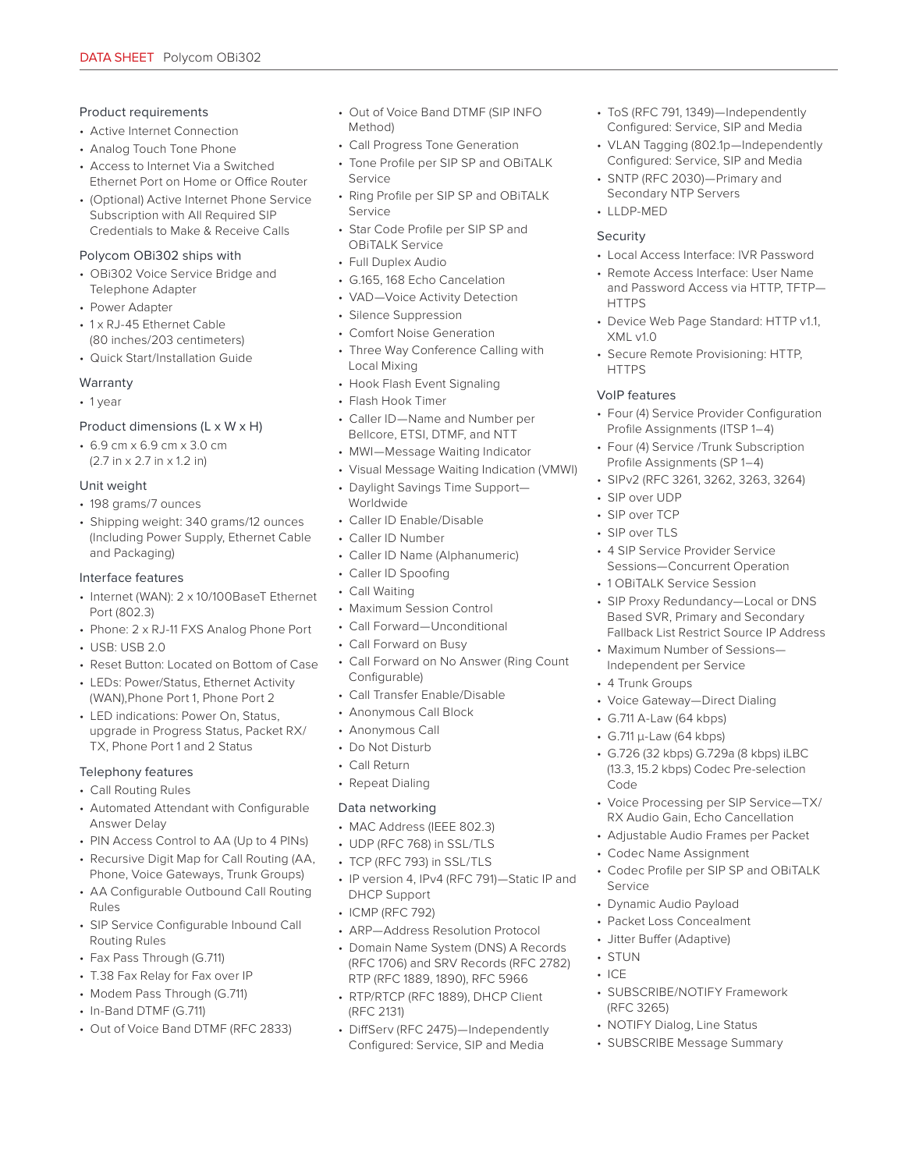#### Product requirements

- Active Internet Connection
- Analog Touch Tone Phone
- Access to Internet Via a Switched Ethernet Port on Home or Office Router
- (Optional) Active Internet Phone Service Subscription with All Required SIP Credentials to Make & Receive Calls

#### Polycom OBi302 ships with

- OBi302 Voice Service Bridge and Telephone Adapter
- Power Adapter
- 1 x RJ-45 Ethernet Cable (80 inches/203 centimeters)
- Quick Start/Installation Guide

#### Warranty

• 1 year

#### Product dimensions (L x W x H)

• 6.9 cm x 6.9 cm x 3.0 cm (2.7 in x 2.7 in x 1.2 in)

#### Unit weight

- 198 grams/7 ounces
- Shipping weight: 340 grams/12 ounces (Including Power Supply, Ethernet Cable and Packaging)

#### Interface features

- Internet (WAN): 2 x 10/100BaseT Ethernet Port (802.3)
- Phone: 2 x RJ-11 FXS Analog Phone Port
- USB: USB 2.0
- Reset Button: Located on Bottom of Case
- LEDs: Power/Status, Ethernet Activity (WAN),Phone Port 1, Phone Port 2
- LED indications: Power On, Status, upgrade in Progress Status, Packet RX/ TX, Phone Port 1 and 2 Status

#### Telephony features

- Call Routing Rules
- Automated Attendant with Configurable Answer Delay
- PIN Access Control to AA (Up to 4 PINs)
- Recursive Digit Map for Call Routing (AA, Phone, Voice Gateways, Trunk Groups)
- AA Configurable Outbound Call Routing Rules
- SIP Service Configurable Inbound Call Routing Rules
- Fax Pass Through (G.711)
- T.38 Fax Relay for Fax over IP
- Modem Pass Through (G.711)
- In-Band DTMF (G.711)
- Out of Voice Band DTMF (RFC 2833)
- Out of Voice Band DTMF (SIP INFO Method)
- Call Progress Tone Generation
- Tone Profile per SIP SP and OBiTALK Service
- Ring Profile per SIP SP and OBiTALK Service
- Star Code Profile per SIP SP and OBiTALK Service
- Full Duplex Audio
- G.165, 168 Echo Cancelation
- VAD—Voice Activity Detection
- Silence Suppression
- Comfort Noise Generation
- Three Way Conference Calling with Local Mixing
- Hook Flash Event Signaling
- Flash Hook Timer
- Caller ID—Name and Number per Bellcore, ETSI, DTMF, and NTT
- MWI—Message Waiting Indicator
- Visual Message Waiting Indication (VMWI)
- Daylight Savings Time Support— Worldwide
- Caller ID Enable/Disable
- Caller ID Number
- Caller ID Name (Alphanumeric)
- Caller ID Spoofing
- Call Waiting
- Maximum Session Control
- Call Forward—Unconditional
- Call Forward on Busy
- Call Forward on No Answer (Ring Count Configurable)
- Call Transfer Enable/Disable
- Anonymous Call Block
- Anonymous Call
- Do Not Disturb
- Call Return
- Repeat Dialing

#### Data networking

- MAC Address (IEEE 802.3)
- UDP (RFC 768) in SSL/TLS
- TCP (RFC 793) in SSL/TLS
- IP version 4, IPv4 (RFC 791)—Static IP and DHCP Support
- ICMP (RFC 792)
- ARP—Address Resolution Protocol
- Domain Name System (DNS) A Records (RFC 1706) and SRV Records (RFC 2782) RTP (RFC 1889, 1890), RFC 5966
- RTP/RTCP (RFC 1889), DHCP Client (RFC 2131)
- DiffServ (RFC 2475)—Independently Configured: Service, SIP and Media
- ToS (RFC 791, 1349)—Independently Configured: Service, SIP and Media
- VLAN Tagging (802.1p—Independently Configured: Service, SIP and Media
- SNTP (RFC 2030)—Primary and Secondary NTP Servers
- LLDP-MED

#### Security

- Local Access Interface: IVR Password
- Remote Access Interface: User Name and Password Access via HTTP, TFTP— **HTTPS**
- Device Web Page Standard: HTTP v1.1, XML v1.0
- Secure Remote Provisioning: HTTP, **HTTPS**

#### VoIP features

- Four (4) Service Provider Configuration Profile Assignments (ITSP 1–4)
- Four (4) Service /Trunk Subscription Profile Assignments (SP 1–4)
- SIPv2 (RFC 3261, 3262, 3263, 3264)
- SIP over UDP
- SIP over TCP
- SIP over TLS
- 4 SIP Service Provider Service Sessions—Concurrent Operation
- 1 OBiTALK Service Session
- SIP Proxy Redundancy—Local or DNS Based SVR, Primary and Secondary Fallback List Restrict Source IP Address
- Maximum Number of Sessions— Independent per Service

• Voice Gateway—Direct Dialing

• G.726 (32 kbps) G.729a (8 kbps) iLBC (13.3, 15.2 kbps) Codec Pre-selection

• Voice Processing per SIP Service—TX/ RX Audio Gain, Echo Cancellation • Adjustable Audio Frames per Packet

• Codec Profile per SIP SP and OBiTALK

• 4 Trunk Groups

Code

Service

• STUN  $\cdot$  ICE

(RFC 3265)

• G.711 A-Law (64 kbps) • G.711 µ-Law (64 kbps)

• Codec Name Assignment

• Dynamic Audio Payload • Packet Loss Concealment • Jitter Buffer (Adaptive)

• SUBSCRIBE/NOTIFY Framework

• NOTIFY Dialog, Line Status • SUBSCRIBE Message Summary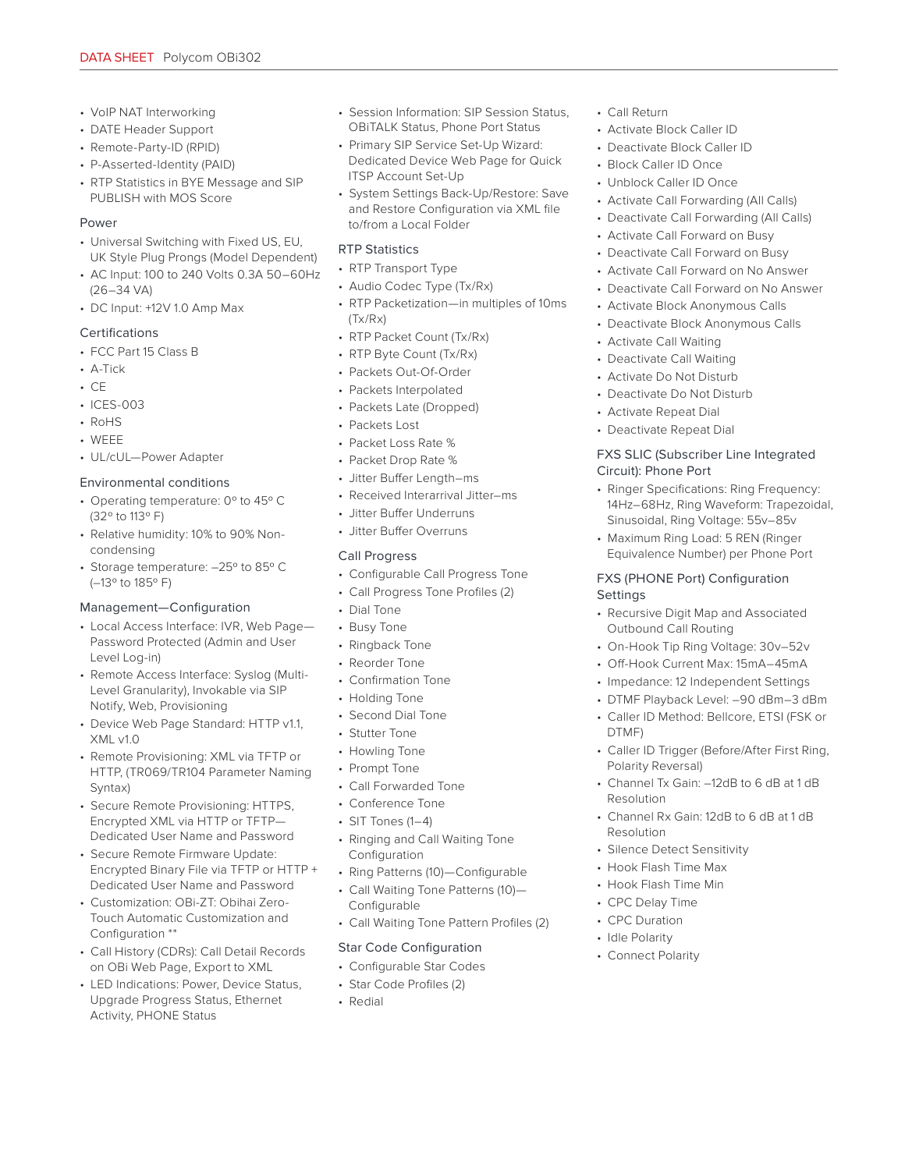- VoIP NAT Interworking
- DATE Header Support
- Remote-Party-ID (RPID)
- P-Asserted-Identity (PAID)
- RTP Statistics in BYE Message and SIP PUBLISH with MOS Score

#### Power

- Universal Switching with Fixed US, EU, UK Style Plug Prongs (Model Dependent)
- AC Input: 100 to 240 Volts 0.3A 50–60Hz (26–34 VA)
- DC Input: +12V 1.0 Amp Max

#### Certifications

- FCC Part 15 Class B
- A-Tick
- CE
- ICES-003
- RoHS
- WEEE
- UL/cUL—Power Adapter

#### Environmental conditions

- Operating temperature: 0º to 45º C (32º to 113º F)
- Relative humidity: 10% to 90% Noncondensing
- Storage temperature: –25º to 85º C (–13º to 185º F)

#### Management—Configuration

- Local Access Interface: IVR, Web Page— Password Protected (Admin and User Level Log-in)
- Remote Access Interface: Syslog (Multi-Level Granularity), Invokable via SIP Notify, Web, Provisioning
- Device Web Page Standard: HTTP v1.1, XML v1.0
- Remote Provisioning: XML via TFTP or HTTP, (TR069/TR104 Parameter Naming Syntax)
- Secure Remote Provisioning: HTTPS, Encrypted XML via HTTP or TFTP— Dedicated User Name and Password
- Secure Remote Firmware Update: Encrypted Binary File via TFTP or HTTP + Dedicated User Name and Password
- Customization: OBi-ZT: Obihai Zero-Touch Automatic Customization and Configuration \*\*
- Call History (CDRs): Call Detail Records on OBi Web Page, Export to XML
- LED Indications: Power, Device Status, Upgrade Progress Status, Ethernet Activity, PHONE Status
- Session Information: SIP Session Status, OBiTALK Status, Phone Port Status
- Primary SIP Service Set-Up Wizard: Dedicated Device Web Page for Quick ITSP Account Set-Up
- System Settings Back-Up/Restore: Save and Restore Configuration via XML file to/from a Local Folder

# RTP Statistics

- RTP Transport Type
- Audio Codec Type (Tx/Rx)
- RTP Packetization—in multiples of 10ms (Tx/Rx)
- RTP Packet Count (Tx/Rx)
- RTP Byte Count (Tx/Rx)
- Packets Out-Of-Order
- Packets Interpolated
- Packets Late (Dropped)
- Packets Lost
- Packet Loss Rate %
- Packet Drop Rate %
- Jitter Buffer Length–ms
- Received Interarrival Jitter–ms
- Jitter Buffer Underruns
- Jitter Buffer Overruns

### Call Progress

- Configurable Call Progress Tone
- Call Progress Tone Profiles (2)
- Dial Tone
- Busy Tone
- Ringback Tone
- Reorder Tone
- Confirmation Tone
- Holding Tone
- Second Dial Tone
- Stutter Tone
- Howling Tone
- Prompt Tone
- Call Forwarded Tone
- Conference Tone
- SIT Tones (1–4)
- Ringing and Call Waiting Tone Configuration
- Ring Patterns (10)—Configurable • Call Waiting Tone Patterns (10)— Configurable
- Call Waiting Tone Pattern Profiles (2)

# Star Code Configuration

- Configurable Star Codes
- Star Code Profiles (2)
- Redial
- Call Return
- Activate Block Caller ID
- Deactivate Block Caller ID
- Block Caller ID Once
- Unblock Caller ID Once
- Activate Call Forwarding (All Calls)
- Deactivate Call Forwarding (All Calls)
- Activate Call Forward on Busy
- Deactivate Call Forward on Busy
- Activate Call Forward on No Answer
- Deactivate Call Forward on No Answer
- Activate Block Anonymous Calls
- Deactivate Block Anonymous Calls
- Activate Call Waiting
- Deactivate Call Waiting
- Activate Do Not Disturb
- Deactivate Do Not Disturb
- Activate Repeat Dial
- Deactivate Repeat Dial

#### FXS SLIC (Subscriber Line Integrated Circuit): Phone Port

- Ringer Specifications: Ring Frequency: 14Hz–68Hz, Ring Waveform: Trapezoidal, Sinusoidal, Ring Voltage: 55v–85v
- Maximum Ring Load: 5 REN (Ringer Equivalence Number) per Phone Port

#### FXS (PHONE Port) Configuration **Settings**

- Recursive Digit Map and Associated Outbound Call Routing
- On-Hook Tip Ring Voltage: 30v–52v
- Off-Hook Current Max: 15mA–45mA • Impedance: 12 Independent Settings

DTMF)

Resolution

Resolution

Polarity Reversal)

• Silence Detect Sensitivity • Hook Flash Time Max • Hook Flash Time Min • CPC Delay Time • CPC Duration • Idle Polarity • Connect Polarity

• DTMF Playback Level: –90 dBm–3 dBm • Caller ID Method: Bellcore, ETSI (FSK or

• Caller ID Trigger (Before/After First Ring,

• Channel Tx Gain: –12dB to 6 dB at 1 dB

• Channel Rx Gain: 12dB to 6 dB at 1 dB